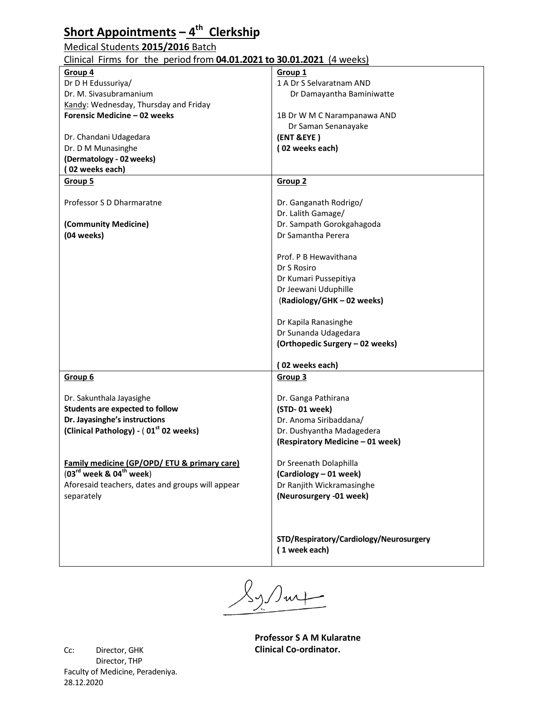### **Short Appointments – 4 th Clerkship**

#### Medical Students **2015/2016** Batch

#### Clinical Firms for the period from **04.01.2021 to 30.01.2021** (4 weeks)

|                                                    | Group 1                                                  |
|----------------------------------------------------|----------------------------------------------------------|
| Group 4                                            |                                                          |
| Dr D H Edussuriya/                                 | 1 A Dr S Selvaratnam AND                                 |
| Dr. M. Sivasubramanium                             | Dr Damayantha Baminiwatte                                |
| Kandy: Wednesday, Thursday and Friday              |                                                          |
| Forensic Medicine - 02 weeks                       | 1B Dr W M C Narampanawa AND                              |
|                                                    | Dr Saman Senanayake                                      |
| Dr. Chandani Udagedara                             | (ENT &EYE)                                               |
| Dr. D M Munasinghe                                 | (02 weeks each)                                          |
|                                                    |                                                          |
| (Dermatology - 02 weeks)                           |                                                          |
| (02 weeks each)                                    |                                                          |
| Group 5                                            | Group 2                                                  |
|                                                    |                                                          |
| Professor S D Dharmaratne                          | Dr. Ganganath Rodrigo/                                   |
|                                                    | Dr. Lalith Gamage/                                       |
| (Community Medicine)                               | Dr. Sampath Gorokgahagoda                                |
| (04 weeks)                                         | Dr Samantha Perera                                       |
|                                                    |                                                          |
|                                                    |                                                          |
|                                                    | Prof. P B Hewavithana                                    |
|                                                    | Dr S Rosiro                                              |
|                                                    | Dr Kumari Pussepitiya                                    |
|                                                    | Dr Jeewani Uduphille                                     |
|                                                    | (Radiology/GHK-02 weeks)                                 |
|                                                    |                                                          |
|                                                    | Dr Kapila Ranasinghe                                     |
|                                                    |                                                          |
|                                                    | Dr Sunanda Udagedara                                     |
|                                                    | (Orthopedic Surgery - 02 weeks)                          |
|                                                    |                                                          |
|                                                    | (02 weeks each)                                          |
| Group 6                                            | Group 3                                                  |
|                                                    |                                                          |
| Dr. Sakunthala Jayasighe                           | Dr. Ganga Pathirana                                      |
| <b>Students are expected to follow</b>             | (STD-01 week)                                            |
| Dr. Jayasinghe's instructions                      | Dr. Anoma Siribaddana/                                   |
| (Clinical Pathology) - (01 <sup>st</sup> 02 weeks) | Dr. Dushyantha Madagedera                                |
|                                                    |                                                          |
|                                                    | (Respiratory Medicine - 01 week)                         |
|                                                    |                                                          |
| Family medicine (GP/OPD/ ETU & primary care)       | Dr Sreenath Dolaphilla                                   |
| $(03^{\text{rd}}$ week & $04^{\text{th}}$ week)    | (Cardiology - 01 week)                                   |
| Aforesaid teachers, dates and groups will appear   | Dr Ranjith Wickramasinghe                                |
| separately                                         | (Neurosurgery -01 week)                                  |
|                                                    |                                                          |
|                                                    |                                                          |
|                                                    | STD/Respiratory/Cardiology/Neurosurgery<br>(1 week each) |

 $/$ Jurf

**Professor S A M Kularatne Clinical Co-ordinator.**

Cc: Director, GHK Director, THP Faculty of Medicine, Peradeniya. 28.12.2020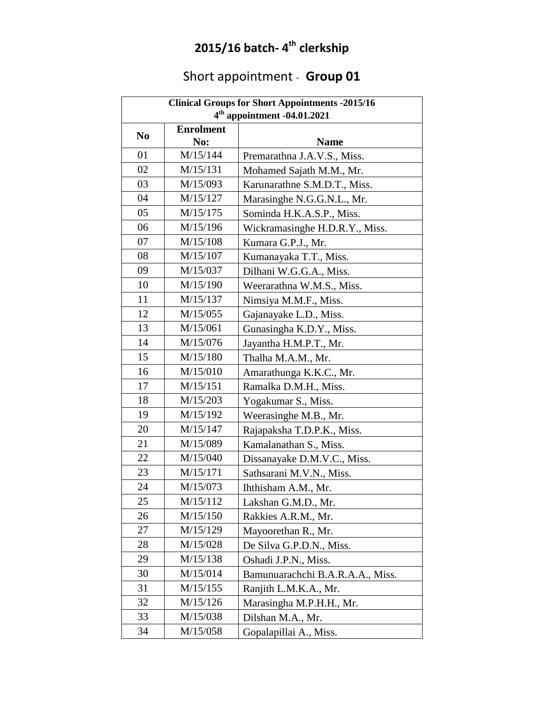### **2015/16 batch- 4 th clerkship**

# Short appointment - **Group 01**

| <b>Clinical Groups for Short Appointments -2015/16</b> |                  |                                  |
|--------------------------------------------------------|------------------|----------------------------------|
| $4th$ appointment -04.01.2021                          |                  |                                  |
| N <sub>0</sub>                                         | <b>Enrolment</b> |                                  |
|                                                        | No:              | <b>Name</b>                      |
| 01                                                     | M/15/144         | Premarathna J.A.V.S., Miss.      |
| 02                                                     | M/15/131         | Mohamed Sajath M.M., Mr.         |
| 03                                                     | M/15/093         | Karunarathne S.M.D.T., Miss.     |
| 04                                                     | M/15/127         | Marasinghe N.G.G.N.L., Mr.       |
| 05                                                     | M/15/175         | Sominda H.K.A.S.P., Miss.        |
| 06                                                     | M/15/196         | Wickramasinghe H.D.R.Y., Miss.   |
| 07                                                     | M/15/108         | Kumara G.P.J., Mr.               |
| 08                                                     | M/15/107         | Kumanayaka T.T., Miss.           |
| 09                                                     | M/15/037         | Dilhani W.G.G.A., Miss.          |
| 10                                                     | M/15/190         | Weerarathna W.M.S., Miss.        |
| 11                                                     | M/15/137         | Nimsiya M.M.F., Miss.            |
| 12                                                     | M/15/055         | Gajanayake L.D., Miss.           |
| 13                                                     | M/15/061         | Gunasingha K.D.Y., Miss.         |
| 14                                                     | M/15/076         | Jayantha H.M.P.T., Mr.           |
| 15                                                     | M/15/180         | Thalha M.A.M., Mr.               |
| 16                                                     | M/15/010         | Amarathunga K.K.C., Mr.          |
| 17                                                     | M/15/151         | Ramalka D.M.H., Miss.            |
| 18                                                     | M/15/203         | Yogakumar S., Miss.              |
| 19                                                     | M/15/192         | Weerasinghe M.B., Mr.            |
| 20                                                     | M/15/147         | Rajapaksha T.D.P.K., Miss.       |
| 21                                                     | M/15/089         | Kamalanathan S., Miss.           |
| 22                                                     | M/15/040         | Dissanayake D.M.V.C., Miss.      |
| 23                                                     | M/15/171         | Sathsarani M.V.N., Miss.         |
| 24                                                     | M/15/073         | Ihthisham A.M., Mr.              |
| 25                                                     | M/15/112         | Lakshan G.M.D., Mr.              |
| 26                                                     | M/15/150         | Rakkies A.R.M., Mr.              |
| 27                                                     | M/15/129         | Mayoorethan R., Mr.              |
| 28                                                     | M/15/028         | De Silva G.P.D.N., Miss.         |
| 29                                                     | M/15/138         | Oshadi J.P.N., Miss.             |
| 30                                                     | M/15/014         | Bamunuarachchi B.A.R.A.A., Miss. |
| 31                                                     | M/15/155         | Ranjith L.M.K.A., Mr.            |
| 32                                                     | M/15/126         | Marasingha M.P.H.H., Mr.         |
| 33                                                     | M/15/038         | Dilshan M.A., Mr.                |
| 34                                                     | M/15/058         | Gopalapillai A., Miss.           |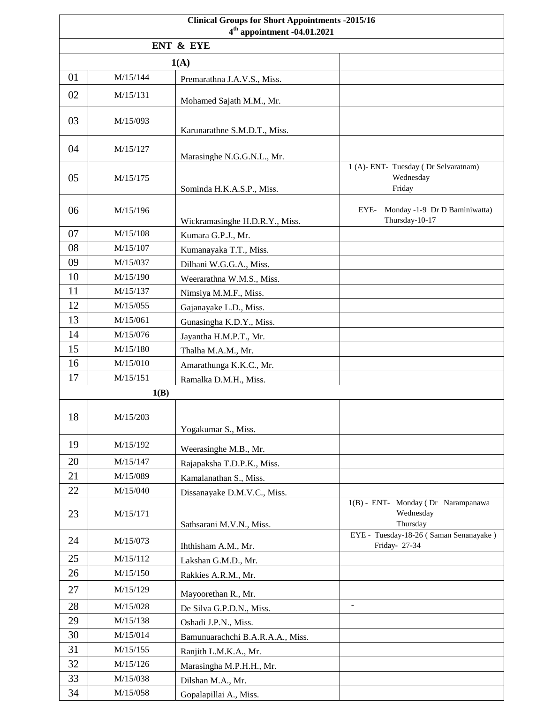| <b>Clinical Groups for Short Appointments -2015/16</b><br>$4th$ appointment -04.01.2021 |          |                                                      |                                                         |
|-----------------------------------------------------------------------------------------|----------|------------------------------------------------------|---------------------------------------------------------|
|                                                                                         |          | ENT & EYE                                            |                                                         |
|                                                                                         |          | 1(A)                                                 |                                                         |
| 01                                                                                      | M/15/144 | Premarathna J.A.V.S., Miss.                          |                                                         |
| 02                                                                                      | M/15/131 |                                                      |                                                         |
|                                                                                         |          | Mohamed Sajath M.M., Mr.                             |                                                         |
| 03                                                                                      | M/15/093 | Karunarathne S.M.D.T., Miss.                         |                                                         |
| 04                                                                                      | M/15/127 |                                                      |                                                         |
|                                                                                         |          | Marasinghe N.G.G.N.L., Mr.                           | 1 (A)- ENT- Tuesday (Dr Selvaratnam)                    |
| 05                                                                                      | M/15/175 |                                                      | Wednesday                                               |
|                                                                                         |          | Sominda H.K.A.S.P., Miss.                            | Friday                                                  |
| 06                                                                                      | M/15/196 |                                                      | Monday -1-9 Dr D Baminiwatta)<br>EYE-<br>Thursday-10-17 |
| 07                                                                                      | M/15/108 | Wickramasinghe H.D.R.Y., Miss.<br>Kumara G.P.J., Mr. |                                                         |
| 08                                                                                      | M/15/107 | Kumanayaka T.T., Miss.                               |                                                         |
| 09                                                                                      | M/15/037 | Dilhani W.G.G.A., Miss.                              |                                                         |
| 10                                                                                      | M/15/190 | Weerarathna W.M.S., Miss.                            |                                                         |
| 11                                                                                      | M/15/137 | Nimsiya M.M.F., Miss.                                |                                                         |
| 12                                                                                      | M/15/055 | Gajanayake L.D., Miss.                               |                                                         |
| 13                                                                                      | M/15/061 | Gunasingha K.D.Y., Miss.                             |                                                         |
| 14                                                                                      | M/15/076 |                                                      |                                                         |
| 15                                                                                      | M/15/180 | Jayantha H.M.P.T., Mr.                               |                                                         |
| 16                                                                                      | M/15/010 | Thalha M.A.M., Mr.                                   |                                                         |
| 17                                                                                      | M/15/151 | Amarathunga K.K.C., Mr.                              |                                                         |
|                                                                                         | 1(B)     | Ramalka D.M.H., Miss.                                |                                                         |
|                                                                                         |          |                                                      |                                                         |
| 18                                                                                      | M/15/203 |                                                      |                                                         |
|                                                                                         |          | Yogakumar S., Miss.                                  |                                                         |
| 19                                                                                      | M/15/192 | Weerasinghe M.B., Mr.                                |                                                         |
| 20                                                                                      | M/15/147 | Rajapaksha T.D.P.K., Miss.                           |                                                         |
| 21                                                                                      | M/15/089 | Kamalanathan S., Miss.                               |                                                         |
| 22                                                                                      | M/15/040 | Dissanayake D.M.V.C., Miss.                          |                                                         |
|                                                                                         |          |                                                      | 1(B) - ENT- Monday (Dr Narampanawa                      |
| 23                                                                                      | M/15/171 | Sathsarani M.V.N., Miss.                             | Wednesday<br>Thursday                                   |
| 24                                                                                      | M/15/073 |                                                      | EYE - Tuesday-18-26 (Saman Senanayake)                  |
|                                                                                         |          | Ihthisham A.M., Mr.                                  | Friday- 27-34                                           |
| 25                                                                                      | M/15/112 | Lakshan G.M.D., Mr.                                  |                                                         |
| 26                                                                                      | M/15/150 | Rakkies A.R.M., Mr.                                  |                                                         |
| 27                                                                                      | M/15/129 | Mayoorethan R., Mr.                                  |                                                         |
| 28                                                                                      | M/15/028 | De Silva G.P.D.N., Miss.                             | $\blacksquare$                                          |
| 29                                                                                      | M/15/138 | Oshadi J.P.N., Miss.                                 |                                                         |
| 30                                                                                      | M/15/014 | Bamunuarachchi B.A.R.A.A., Miss.                     |                                                         |
| 31                                                                                      | M/15/155 | Ranjith L.M.K.A., Mr.                                |                                                         |
| 32                                                                                      | M/15/126 | Marasingha M.P.H.H., Mr.                             |                                                         |
| 33                                                                                      | M/15/038 | Dilshan M.A., Mr.                                    |                                                         |
| 34                                                                                      | M/15/058 | Gopalapillai A., Miss.                               |                                                         |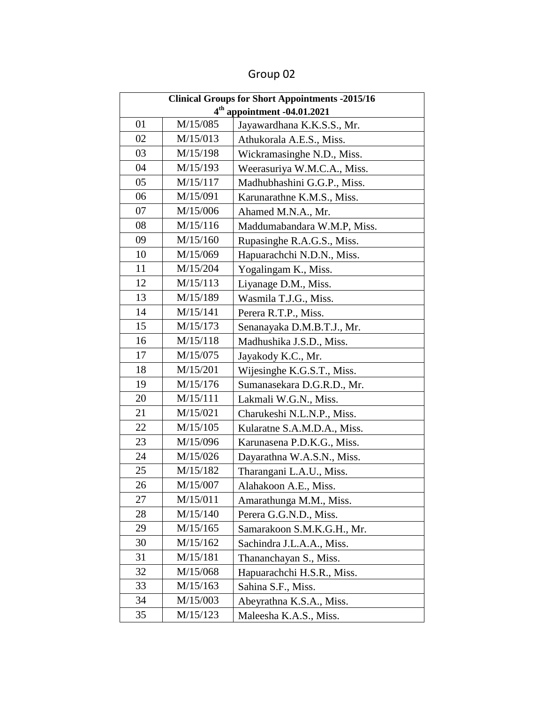| <b>Clinical Groups for Short Appointments -2015/16</b> |          |                             |
|--------------------------------------------------------|----------|-----------------------------|
| 4 <sup>th</sup> appointment -04.01.2021                |          |                             |
| 01                                                     | M/15/085 | Jayawardhana K.K.S.S., Mr.  |
| 02                                                     | M/15/013 | Athukorala A.E.S., Miss.    |
| 03                                                     | M/15/198 | Wickramasinghe N.D., Miss.  |
| 04                                                     | M/15/193 | Weerasuriya W.M.C.A., Miss. |
| 05                                                     | M/15/117 | Madhubhashini G.G.P., Miss. |
| 06                                                     | M/15/091 | Karunarathne K.M.S., Miss.  |
| 07                                                     | M/15/006 | Ahamed M.N.A., Mr.          |
| 08                                                     | M/15/116 | Maddumabandara W.M.P, Miss. |
| 09                                                     | M/15/160 | Rupasinghe R.A.G.S., Miss.  |
| 10                                                     | M/15/069 | Hapuarachchi N.D.N., Miss.  |
| 11                                                     | M/15/204 | Yogalingam K., Miss.        |
| 12                                                     | M/15/113 | Liyanage D.M., Miss.        |
| 13                                                     | M/15/189 | Wasmila T.J.G., Miss.       |
| 14                                                     | M/15/141 | Perera R.T.P., Miss.        |
| 15                                                     | M/15/173 | Senanayaka D.M.B.T.J., Mr.  |
| 16                                                     | M/15/118 | Madhushika J.S.D., Miss.    |
| 17                                                     | M/15/075 | Jayakody K.C., Mr.          |
| 18                                                     | M/15/201 | Wijesinghe K.G.S.T., Miss.  |
| 19                                                     | M/15/176 | Sumanasekara D.G.R.D., Mr.  |
| 20                                                     | M/15/111 | Lakmali W.G.N., Miss.       |
| 21                                                     | M/15/021 | Charukeshi N.L.N.P., Miss.  |
| 22                                                     | M/15/105 | Kularatne S.A.M.D.A., Miss. |
| 23                                                     | M/15/096 | Karunasena P.D.K.G., Miss.  |
| 24                                                     | M/15/026 | Dayarathna W.A.S.N., Miss.  |
| 25                                                     | M/15/182 | Tharangani L.A.U., Miss.    |
| 26                                                     | M/15/007 | Alahakoon A.E., Miss        |
| 27                                                     | M/15/011 | Amarathunga M.M., Miss.     |
| 28                                                     | M/15/140 | Perera G.G.N.D., Miss.      |
| 29                                                     | M/15/165 | Samarakoon S.M.K.G.H., Mr.  |
| 30                                                     | M/15/162 | Sachindra J.L.A.A., Miss.   |
| 31                                                     | M/15/181 | Thananchayan S., Miss.      |
| 32                                                     | M/15/068 | Hapuarachchi H.S.R., Miss.  |
| 33                                                     | M/15/163 | Sahina S.F., Miss.          |
| 34                                                     | M/15/003 | Abeyrathna K.S.A., Miss.    |
| 35                                                     | M/15/123 | Maleesha K.A.S., Miss.      |

Group 02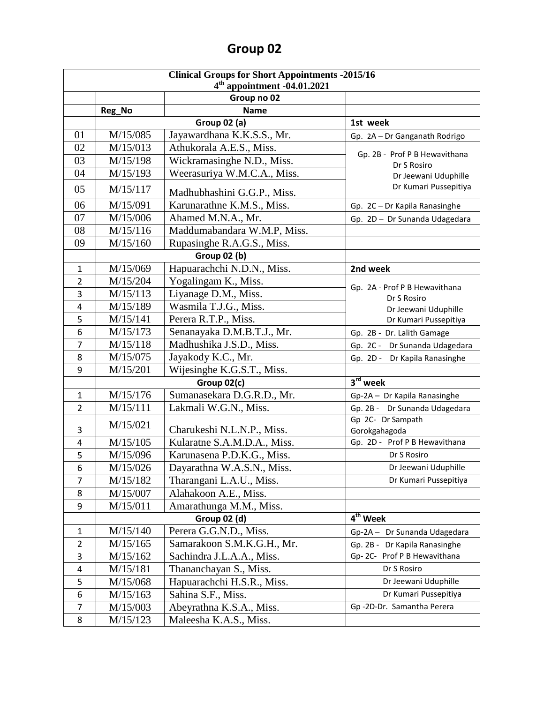| <b>Clinical Groups for Short Appointments -2015/16</b> |          |                             |                                              |
|--------------------------------------------------------|----------|-----------------------------|----------------------------------------------|
| $4th$ appointment -04.01.2021                          |          |                             |                                              |
|                                                        |          | Group no 02                 |                                              |
|                                                        | Reg_No   | <b>Name</b>                 |                                              |
|                                                        |          | <b>Group 02 (a)</b>         | 1st week                                     |
| 01                                                     | M/15/085 | Jayawardhana K.K.S.S., Mr.  | Gp. 2A - Dr Ganganath Rodrigo                |
| 02                                                     | M/15/013 | Athukorala A.E.S., Miss.    | Gp. 2B - Prof P B Hewavithana                |
| 03                                                     | M/15/198 | Wickramasinghe N.D., Miss.  | Dr S Rosiro                                  |
| 04                                                     | M/15/193 | Weerasuriya W.M.C.A., Miss. | Dr Jeewani Uduphille                         |
| 05                                                     | M/15/117 | Madhubhashini G.G.P., Miss. | Dr Kumari Pussepitiya                        |
| 06                                                     | M/15/091 | Karunarathne K.M.S., Miss.  | Gp. 2C - Dr Kapila Ranasinghe                |
| 07                                                     | M/15/006 | Ahamed M.N.A., Mr.          | Gp. 2D - Dr Sunanda Udagedara                |
| 08                                                     | M/15/116 | Maddumabandara W.M.P, Miss. |                                              |
| 09                                                     | M/15/160 | Rupasinghe R.A.G.S., Miss.  |                                              |
|                                                        |          | <b>Group 02 (b)</b>         |                                              |
| $\mathbf{1}$                                           | M/15/069 | Hapuarachchi N.D.N., Miss.  | 2nd week                                     |
| $\overline{2}$                                         | M/15/204 | Yogalingam K., Miss.        |                                              |
| 3                                                      | M/15/113 | Liyanage D.M., Miss.        | Gp. 2A - Prof P B Hewavithana<br>Dr S Rosiro |
| 4                                                      | M/15/189 | Wasmila T.J.G., Miss.       | Dr Jeewani Uduphille                         |
| 5                                                      | M/15/141 | Perera R.T.P., Miss.        | Dr Kumari Pussepitiya                        |
| 6                                                      | M/15/173 | Senanayaka D.M.B.T.J., Mr.  | Gp. 2B - Dr. Lalith Gamage                   |
| 7                                                      | M/15/118 | Madhushika J.S.D., Miss.    | Gp. 2C - Dr Sunanda Udagedara                |
| 8                                                      | M/15/075 | Jayakody K.C., Mr.          | Gp. 2D - Dr Kapila Ranasinghe                |
| 9                                                      | M/15/201 | Wijesinghe K.G.S.T., Miss.  |                                              |
| $3rd$ week<br>Group 02(c)                              |          |                             |                                              |
| 1                                                      | M/15/176 | Sumanasekara D.G.R.D., Mr.  | Gp-2A - Dr Kapila Ranasinghe                 |
| $\overline{2}$                                         | M/15/111 | Lakmali W.G.N., Miss.       | Gp. 2B - Dr Sunanda Udagedara                |
|                                                        | M/15/021 |                             | Gp 2C- Dr Sampath                            |
| 3                                                      |          | Charukeshi N.L.N.P., Miss.  | Gorokgahagoda                                |
| 4                                                      | M/15/105 | Kularatne S.A.M.D.A., Miss. | Gp. 2D - Prof P B Hewavithana                |
| 5                                                      | M/15/096 | Karunasena P.D.K.G., Miss.  | Dr S Rosiro                                  |
| 6                                                      | M/15/026 | Dayarathna W.A.S.N., Miss.  | Dr Jeewani Uduphille                         |
| 7                                                      | M/15/182 | Tharangani L.A.U., Miss.    | Dr Kumari Pussepitiya                        |
| 8                                                      | M/15/007 | Alahakoon A.E., Miss.       |                                              |
| 9                                                      | M/15/011 | Amarathunga M.M., Miss.     |                                              |
| 4 <sup>th</sup> Week<br><b>Group 02 (d)</b>            |          |                             |                                              |
| $\mathbf{1}$                                           | M/15/140 | Perera G.G.N.D., Miss.      | Gp-2A - Dr Sunanda Udagedara                 |
| $\overline{2}$                                         | M/15/165 | Samarakoon S.M.K.G.H., Mr.  | Gp. 2B - Dr Kapila Ranasinghe                |
| 3                                                      | M/15/162 | Sachindra J.L.A.A., Miss.   | Gp-2C- Prof P B Hewavithana                  |
| 4                                                      | M/15/181 | Thananchayan S., Miss.      | Dr S Rosiro                                  |
| 5                                                      | M/15/068 | Hapuarachchi H.S.R., Miss.  | Dr Jeewani Uduphille                         |
| 6                                                      | M/15/163 | Sahina S.F., Miss.          | Dr Kumari Pussepitiya                        |
| $\overline{7}$                                         | M/15/003 | Abeyrathna K.S.A., Miss.    | Gp-2D-Dr. Samantha Perera                    |
| 8                                                      | M/15/123 | Maleesha K.A.S., Miss.      |                                              |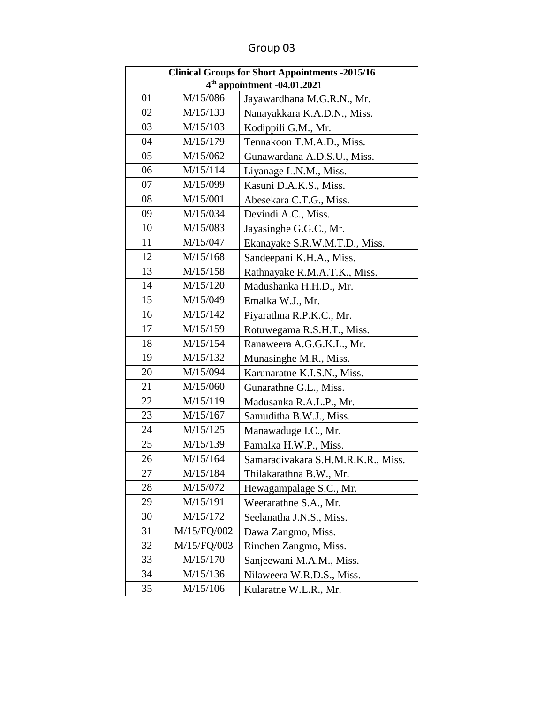| <b>Clinical Groups for Short Appointments -2015/16</b> |             |                                    |
|--------------------------------------------------------|-------------|------------------------------------|
| 4 <sup>th</sup> appointment -04.01.2021                |             |                                    |
| 01                                                     | M/15/086    | Jayawardhana M.G.R.N., Mr.         |
| 02                                                     | M/15/133    | Nanayakkara K.A.D.N., Miss.        |
| 03                                                     | M/15/103    | Kodippili G.M., Mr.                |
| 04                                                     | M/15/179    | Tennakoon T.M.A.D., Miss.          |
| 05                                                     | M/15/062    | Gunawardana A.D.S.U., Miss.        |
| 06                                                     | M/15/114    | Liyanage L.N.M., Miss.             |
| 07                                                     | M/15/099    | Kasuni D.A.K.S., Miss.             |
| 08                                                     | M/15/001    | Abesekara C.T.G., Miss.            |
| 09                                                     | M/15/034    | Devindi A.C., Miss.                |
| 10                                                     | M/15/083    | Jayasinghe G.G.C., Mr.             |
| 11                                                     | M/15/047    | Ekanayake S.R.W.M.T.D., Miss.      |
| 12                                                     | M/15/168    | Sandeepani K.H.A., Miss.           |
| 13                                                     | M/15/158    | Rathnayake R.M.A.T.K., Miss.       |
| 14                                                     | M/15/120    | Madushanka H.H.D., Mr.             |
| 15                                                     | M/15/049    | Emalka W.J., Mr.                   |
| 16                                                     | M/15/142    | Piyarathna R.P.K.C., Mr.           |
| 17                                                     | M/15/159    | Rotuwegama R.S.H.T., Miss.         |
| 18                                                     | M/15/154    | Ranaweera A.G.G.K.L., Mr.          |
| 19                                                     | M/15/132    | Munasinghe M.R., Miss.             |
| 20                                                     | M/15/094    | Karunaratne K.I.S.N., Miss.        |
| 21                                                     | M/15/060    | Gunarathne G.L., Miss.             |
| 22                                                     | M/15/119    | Madusanka R.A.L.P., Mr.            |
| 23                                                     | M/15/167    | Samuditha B.W.J., Miss.            |
| 24                                                     | M/15/125    | Manawaduge I.C., Mr.               |
| 25                                                     | M/15/139    | Pamalka H.W.P., Miss.              |
| 26                                                     | M/15/164    | Samaradivakara S.H.M.R.K.R., Miss. |
| 27                                                     | M/15/184    | Thilakarathna B.W., Mr.            |
| 28                                                     | M/15/072    | Hewagampalage S.C., Mr.            |
| 29                                                     | M/15/191    | Weerarathne S.A., Mr.              |
| 30                                                     | M/15/172    | Seelanatha J.N.S., Miss.           |
| 31                                                     | M/15/FQ/002 | Dawa Zangmo, Miss.                 |
| 32                                                     | M/15/FQ/003 | Rinchen Zangmo, Miss.              |
| 33                                                     | M/15/170    | Sanjeewani M.A.M., Miss.           |
| 34                                                     | M/15/136    | Nilaweera W.R.D.S., Miss.          |
| 35                                                     | M/15/106    | Kularatne W.L.R., Mr.              |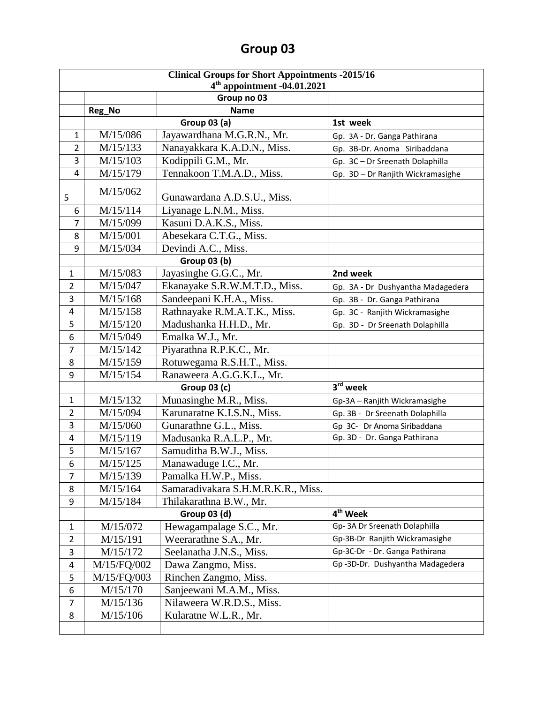| <b>Clinical Groups for Short Appointments -2015/16</b> |                                              |                                    |                                   |  |
|--------------------------------------------------------|----------------------------------------------|------------------------------------|-----------------------------------|--|
|                                                        | $4th$ appointment -04.01.2021<br>Group no 03 |                                    |                                   |  |
|                                                        | <b>Name</b>                                  |                                    |                                   |  |
|                                                        | Reg_No<br><b>Group 03 (a)</b><br>1st week    |                                    |                                   |  |
| 1                                                      | M/15/086                                     | Jayawardhana M.G.R.N., Mr.         | Gp. 3A - Dr. Ganga Pathirana      |  |
| 2                                                      | M/15/133                                     | Nanayakkara K.A.D.N., Miss.        | Gp. 3B-Dr. Anoma Siribaddana      |  |
| 3                                                      | M/15/103                                     | Kodippili G.M., Mr.                | Gp. 3C - Dr Sreenath Dolaphilla   |  |
| 4                                                      | M/15/179                                     | Tennakoon T.M.A.D., Miss.          | Gp. 3D - Dr Ranjith Wickramasighe |  |
|                                                        |                                              |                                    |                                   |  |
| 5                                                      | M/15/062                                     | Gunawardana A.D.S.U., Miss.        |                                   |  |
| 6                                                      | M/15/114                                     | Liyanage L.N.M., Miss.             |                                   |  |
| $\overline{7}$                                         | M/15/099                                     | Kasuni D.A.K.S., Miss.             |                                   |  |
| 8                                                      | M/15/001                                     | Abesekara C.T.G., Miss.            |                                   |  |
| 9                                                      | M/15/034                                     | Devindi A.C., Miss.                |                                   |  |
|                                                        |                                              | <b>Group 03 (b)</b>                |                                   |  |
| $\mathbf{1}$                                           | M/15/083                                     | Jayasinghe G.G.C., Mr.             | 2nd week                          |  |
| $\overline{2}$                                         | M/15/047                                     | Ekanayake S.R.W.M.T.D., Miss.      | Gp. 3A - Dr Dushyantha Madagedera |  |
| 3                                                      | M/15/168                                     | Sandeepani K.H.A., Miss.           | Gp. 3B - Dr. Ganga Pathirana      |  |
| 4                                                      | M/15/158                                     | Rathnayake R.M.A.T.K., Miss.       | Gp. 3C - Ranjith Wickramasighe    |  |
| 5                                                      | M/15/120                                     | Madushanka H.H.D., Mr.             | Gp. 3D - Dr Sreenath Dolaphilla   |  |
| 6                                                      | M/15/049                                     | Emalka W.J., Mr.                   |                                   |  |
| $\overline{7}$                                         | M/15/142                                     | Piyarathna R.P.K.C., Mr.           |                                   |  |
| 8                                                      | M/15/159                                     | Rotuwegama R.S.H.T., Miss.         |                                   |  |
| 9                                                      | M/15/154                                     | Ranaweera A.G.G.K.L., Mr.          |                                   |  |
|                                                        | 3rd week<br><b>Group 03 (c)</b>              |                                    |                                   |  |
| $\mathbf{1}$                                           | M/15/132                                     | Munasinghe M.R., Miss.             | Gp-3A - Ranjith Wickramasighe     |  |
| $\overline{2}$                                         | M/15/094                                     | Karunaratne K.I.S.N., Miss.        | Gp. 3B - Dr Sreenath Dolaphilla   |  |
| 3                                                      | M/15/060                                     | Gunarathne G.L., Miss.             | Gp 3C- Dr Anoma Siribaddana       |  |
| 4                                                      | M/15/119                                     | Madusanka R.A.L.P., Mr.            | Gp. 3D - Dr. Ganga Pathirana      |  |
| 5                                                      | M/15/167                                     | Samuditha B.W.J., Miss.            |                                   |  |
| 6                                                      | M/15/125                                     | Manawaduge I.C., Mr.               |                                   |  |
| 7                                                      | M/15/139                                     | Pamalka H.W.P., Miss.              |                                   |  |
| 8                                                      | M/15/164                                     | Samaradivakara S.H.M.R.K.R., Miss. |                                   |  |
| 9                                                      | M/15/184                                     | Thilakarathna B.W., Mr.            |                                   |  |
|                                                        |                                              | Group 03 (d)                       | $\overline{4^{th}}$ Week          |  |
| $\mathbf{1}$                                           | M/15/072                                     | Hewagampalage S.C., Mr.            | Gp-3A Dr Sreenath Dolaphilla      |  |
| $\overline{2}$                                         | M/15/191                                     | Weerarathne S.A., Mr.              | Gp-3B-Dr Ranjith Wickramasighe    |  |
| 3                                                      | M/15/172                                     | Seelanatha J.N.S., Miss.           | Gp-3C-Dr - Dr. Ganga Pathirana    |  |
| 4                                                      | M/15/FQ/002                                  | Dawa Zangmo, Miss.                 | Gp-3D-Dr. Dushyantha Madagedera   |  |
| 5                                                      | M/15/FQ/003                                  | Rinchen Zangmo, Miss.              |                                   |  |
| 6                                                      | M/15/170                                     | Sanjeewani M.A.M., Miss.           |                                   |  |
| 7                                                      | M/15/136                                     | Nilaweera W.R.D.S., Miss.          |                                   |  |
| 8                                                      | M/15/106                                     | Kularatne W.L.R., Mr.              |                                   |  |
|                                                        |                                              |                                    |                                   |  |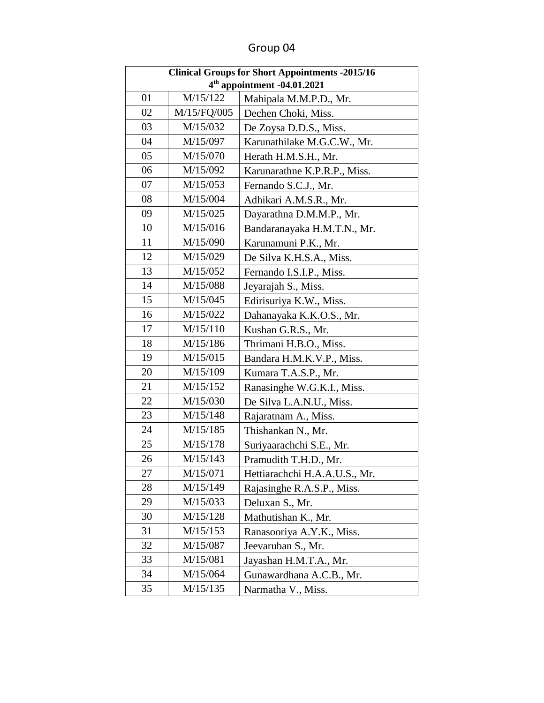| <b>Clinical Groups for Short Appointments -2015/16</b> |                                         |                               |  |
|--------------------------------------------------------|-----------------------------------------|-------------------------------|--|
|                                                        | 4 <sup>th</sup> appointment -04.01.2021 |                               |  |
| 01                                                     | M/15/122                                | Mahipala M.M.P.D., Mr.        |  |
| 02                                                     | M/15/FQ/005                             | Dechen Choki, Miss.           |  |
| 03                                                     | M/15/032                                | De Zoysa D.D.S., Miss.        |  |
| 04                                                     | M/15/097                                | Karunathilake M.G.C.W., Mr.   |  |
| 05                                                     | M/15/070                                | Herath H.M.S.H., Mr.          |  |
| 06                                                     | M/15/092                                | Karunarathne K.P.R.P., Miss.  |  |
| 07                                                     | M/15/053                                | Fernando S.C.J., Mr.          |  |
| 08                                                     | M/15/004                                | Adhikari A.M.S.R., Mr.        |  |
| 09                                                     | M/15/025                                | Dayarathna D.M.M.P., Mr.      |  |
| 10                                                     | M/15/016                                | Bandaranayaka H.M.T.N., Mr.   |  |
| 11                                                     | M/15/090                                | Karunamuni P.K., Mr.          |  |
| 12                                                     | M/15/029                                | De Silva K.H.S.A., Miss.      |  |
| 13                                                     | M/15/052                                | Fernando I.S.I.P., Miss.      |  |
| 14                                                     | M/15/088                                | Jeyarajah S., Miss.           |  |
| 15                                                     | M/15/045                                | Edirisuriya K.W., Miss.       |  |
| 16                                                     | M/15/022                                | Dahanayaka K.K.O.S., Mr.      |  |
| 17                                                     | M/15/110                                | Kushan G.R.S., Mr.            |  |
| 18                                                     | M/15/186                                | Thrimani H.B.O., Miss.        |  |
| 19                                                     | M/15/015                                | Bandara H.M.K.V.P., Miss.     |  |
| 20                                                     | M/15/109                                | Kumara T.A.S.P., Mr.          |  |
| 21                                                     | M/15/152                                | Ranasinghe W.G.K.I., Miss.    |  |
| 22                                                     | M/15/030                                | De Silva L.A.N.U., Miss.      |  |
| 23                                                     | M/15/148                                | Rajaratnam A., Miss.          |  |
| 24                                                     | M/15/185                                | Thishankan N., Mr.            |  |
| 25                                                     | M/15/178                                | Suriyaarachchi S.E., Mr.      |  |
| 26                                                     | M/15/143                                | Pramudith T.H.D., Mr.         |  |
| 27                                                     | M/15/071                                | Hettiarachchi H.A.A.U.S., Mr. |  |
| 28                                                     | M/15/149                                | Rajasinghe R.A.S.P., Miss.    |  |
| 29                                                     | M/15/033                                | Deluxan S., Mr.               |  |
| 30                                                     | M/15/128                                | Mathutishan K., Mr.           |  |
| 31                                                     | M/15/153                                | Ranasooriya A.Y.K., Miss.     |  |
| 32                                                     | M/15/087                                | Jeevaruban S., Mr.            |  |
| 33                                                     | M/15/081                                | Jayashan H.M.T.A., Mr.        |  |
| 34                                                     | M/15/064                                | Gunawardhana A.C.B., Mr.      |  |
| 35                                                     | M/15/135                                | Narmatha V., Miss.            |  |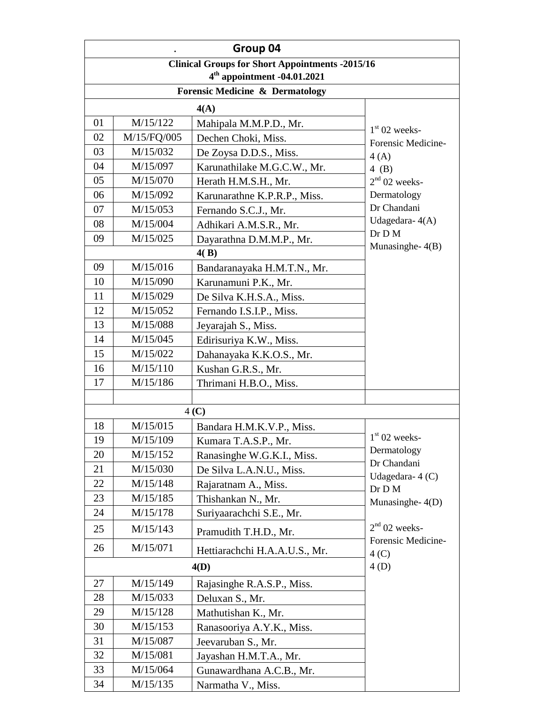|                                                                 | Group 04                               |                                            |                                       |
|-----------------------------------------------------------------|----------------------------------------|--------------------------------------------|---------------------------------------|
| <b>Clinical Groups for Short Appointments -2015/16</b>          |                                        |                                            |                                       |
| $4th$ appointment -04.01.2021                                   |                                        |                                            |                                       |
|                                                                 |                                        | <b>Forensic Medicine &amp; Dermatology</b> |                                       |
|                                                                 |                                        | 4(A)                                       |                                       |
| 01                                                              | M/15/122                               | Mahipala M.M.P.D., Mr.                     | $1st 02$ weeks-                       |
| 02                                                              | M/15/FQ/005                            | Dechen Choki, Miss.                        | Forensic Medicine-                    |
| 03                                                              | M/15/032                               | De Zoysa D.D.S., Miss.                     | 4(A)                                  |
| 04                                                              | M/15/097                               | Karunathilake M.G.C.W., Mr.                | $4$ (B)                               |
| 05                                                              | M/15/070                               | Herath H.M.S.H., Mr.                       | $2nd$ 02 weeks-                       |
| 06                                                              | M/15/092                               | Karunarathne K.P.R.P., Miss.               | Dermatology                           |
| 07                                                              | M/15/053                               | Fernando S.C.J., Mr.                       | Dr Chandani                           |
| 08                                                              | M/15/004                               | Adhikari A.M.S.R., Mr.                     | Udagedara-4(A)                        |
| 09                                                              | M/15/025                               | Dayarathna D.M.M.P., Mr.                   | Dr D M                                |
|                                                                 |                                        | 4(B)                                       | Munasinghe- $4(B)$                    |
| 09                                                              | M/15/016                               | Bandaranayaka H.M.T.N., Mr.                |                                       |
| 10                                                              | M/15/090                               | Karunamuni P.K., Mr.                       |                                       |
| 11                                                              | M/15/029                               | De Silva K.H.S.A., Miss.                   |                                       |
| 12<br>M/15/052<br>Fernando I.S.I.P., Miss.                      |                                        |                                            |                                       |
| 13<br>M/15/088<br>Jeyarajah S., Miss.                           |                                        |                                            |                                       |
| 14<br>M/15/045<br>Edirisuriya K.W., Miss.                       |                                        |                                            |                                       |
| 15<br>M/15/022<br>Dahanayaka K.K.O.S., Mr.                      |                                        |                                            |                                       |
| 16                                                              | M/15/110                               | Kushan G.R.S., Mr.                         |                                       |
| 17                                                              | M/15/186                               | Thrimani H.B.O., Miss.                     |                                       |
|                                                                 |                                        |                                            |                                       |
|                                                                 | 4 <sub>(C)</sub>                       |                                            |                                       |
| 18                                                              | M/15/015                               | Bandara H.M.K.V.P., Miss.                  |                                       |
| 19                                                              | M/15/109                               | Kumara T.A.S.P., Mr.                       | $1st 02$ weeks-                       |
| 20                                                              | M/15/152                               | Ranasinghe W.G.K.I., Miss.                 | Dermatology<br>Dr Chandani            |
| 21<br>M/15/030<br>De Silva L.A.N.U., Miss.<br>Udagedara- $4(C)$ |                                        |                                            |                                       |
| 22                                                              | M/15/148                               | Rajaratnam A., Miss.                       | Dr D M                                |
| 23                                                              | M/15/185                               | Thishankan N., Mr.                         | Munasinghe-4(D)                       |
| 24                                                              | M/15/178                               | Suriyaarachchi S.E., Mr.                   |                                       |
| 25                                                              | M/15/143                               | Pramudith T.H.D., Mr.                      | $2nd$ 02 weeks-<br>Forensic Medicine- |
| 26                                                              | M/15/071                               | Hettiarachchi H.A.A.U.S., Mr.              | 4 <sub>(C)</sub>                      |
|                                                                 | 4(D)<br>4(D)                           |                                            |                                       |
| 27                                                              | M/15/149<br>Rajasinghe R.A.S.P., Miss. |                                            |                                       |
| 28                                                              | M/15/033                               | Deluxan S., Mr.                            |                                       |
| 29                                                              | M/15/128                               | Mathutishan K., Mr.                        |                                       |
| 30                                                              | M/15/153                               | Ranasooriya A.Y.K., Miss.                  |                                       |
| 31                                                              | M/15/087                               | Jeevaruban S., Mr.                         |                                       |
| 32                                                              | M/15/081                               | Jayashan H.M.T.A., Mr.                     |                                       |
| 33                                                              | M/15/064                               | Gunawardhana A.C.B., Mr.                   |                                       |
| 34                                                              | M/15/135                               | Narmatha V., Miss.                         |                                       |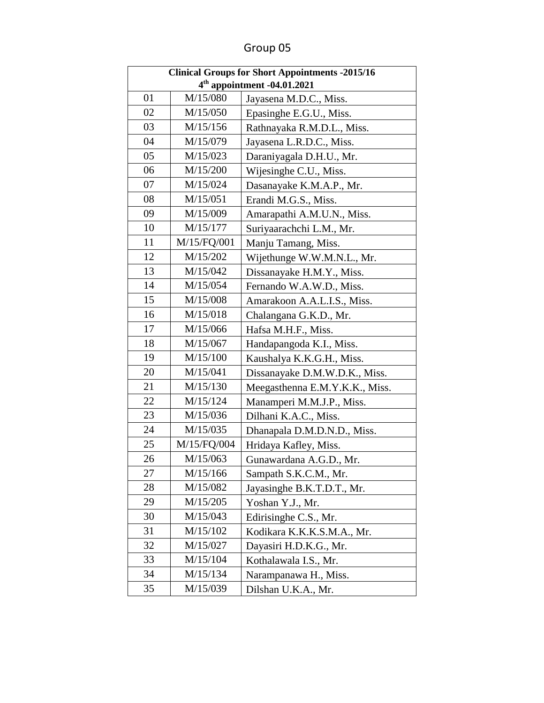| <b>Clinical Groups for Short Appointments -2015/16</b> |             |                                |  |
|--------------------------------------------------------|-------------|--------------------------------|--|
| 4 <sup>th</sup> appointment -04.01.2021                |             |                                |  |
| 01                                                     | M/15/080    | Jayasena M.D.C., Miss.         |  |
| 02                                                     | M/15/050    | Epasinghe E.G.U., Miss.        |  |
| 03                                                     | M/15/156    | Rathnayaka R.M.D.L., Miss.     |  |
| 04                                                     | M/15/079    | Jayasena L.R.D.C., Miss.       |  |
| 05                                                     | M/15/023    | Daraniyagala D.H.U., Mr.       |  |
| 06                                                     | M/15/200    | Wijesinghe C.U., Miss.         |  |
| 07                                                     | M/15/024    | Dasanayake K.M.A.P., Mr.       |  |
| 08                                                     | M/15/051    | Erandi M.G.S., Miss.           |  |
| 09                                                     | M/15/009    | Amarapathi A.M.U.N., Miss.     |  |
| 10                                                     | M/15/177    | Suriyaarachchi L.M., Mr.       |  |
| 11                                                     | M/15/FQ/001 | Manju Tamang, Miss.            |  |
| 12                                                     | M/15/202    | Wijethunge W.W.M.N.L., Mr.     |  |
| 13                                                     | M/15/042    | Dissanayake H.M.Y., Miss.      |  |
| 14                                                     | M/15/054    | Fernando W.A.W.D., Miss.       |  |
| 15                                                     | M/15/008    | Amarakoon A.A.L.I.S., Miss.    |  |
| 16                                                     | M/15/018    | Chalangana G.K.D., Mr.         |  |
| 17                                                     | M/15/066    | Hafsa M.H.F., Miss.            |  |
| 18                                                     | M/15/067    | Handapangoda K.I., Miss.       |  |
| 19                                                     | M/15/100    | Kaushalya K.K.G.H., Miss.      |  |
| 20                                                     | M/15/041    | Dissanayake D.M.W.D.K., Miss.  |  |
| 21                                                     | M/15/130    | Meegasthenna E.M.Y.K.K., Miss. |  |
| 22                                                     | M/15/124    | Manamperi M.M.J.P., Miss.      |  |
| 23                                                     | M/15/036    | Dilhani K.A.C., Miss.          |  |
| 24                                                     | M/15/035    | Dhanapala D.M.D.N.D., Miss.    |  |
| 25                                                     | M/15/FQ/004 | Hridaya Kafley, Miss.          |  |
| 26                                                     | M/15/063    | Gunawardana A.G.D., Mr.        |  |
| 27                                                     | M/15/166    | Sampath S.K.C.M., Mr.          |  |
| 28                                                     | M/15/082    | Jayasinghe B.K.T.D.T., Mr.     |  |
| 29                                                     | M/15/205    | Yoshan Y.J., Mr.               |  |
| 30                                                     | M/15/043    | Edirisinghe C.S., Mr.          |  |
| 31                                                     | M/15/102    | Kodikara K.K.K.S.M.A., Mr.     |  |
| 32                                                     | M/15/027    | Dayasiri H.D.K.G., Mr.         |  |
| 33                                                     | M/15/104    | Kothalawala I.S., Mr.          |  |
| 34                                                     | M/15/134    | Narampanawa H., Miss.          |  |
| 35                                                     | M/15/039    | Dilshan U.K.A., Mr.            |  |